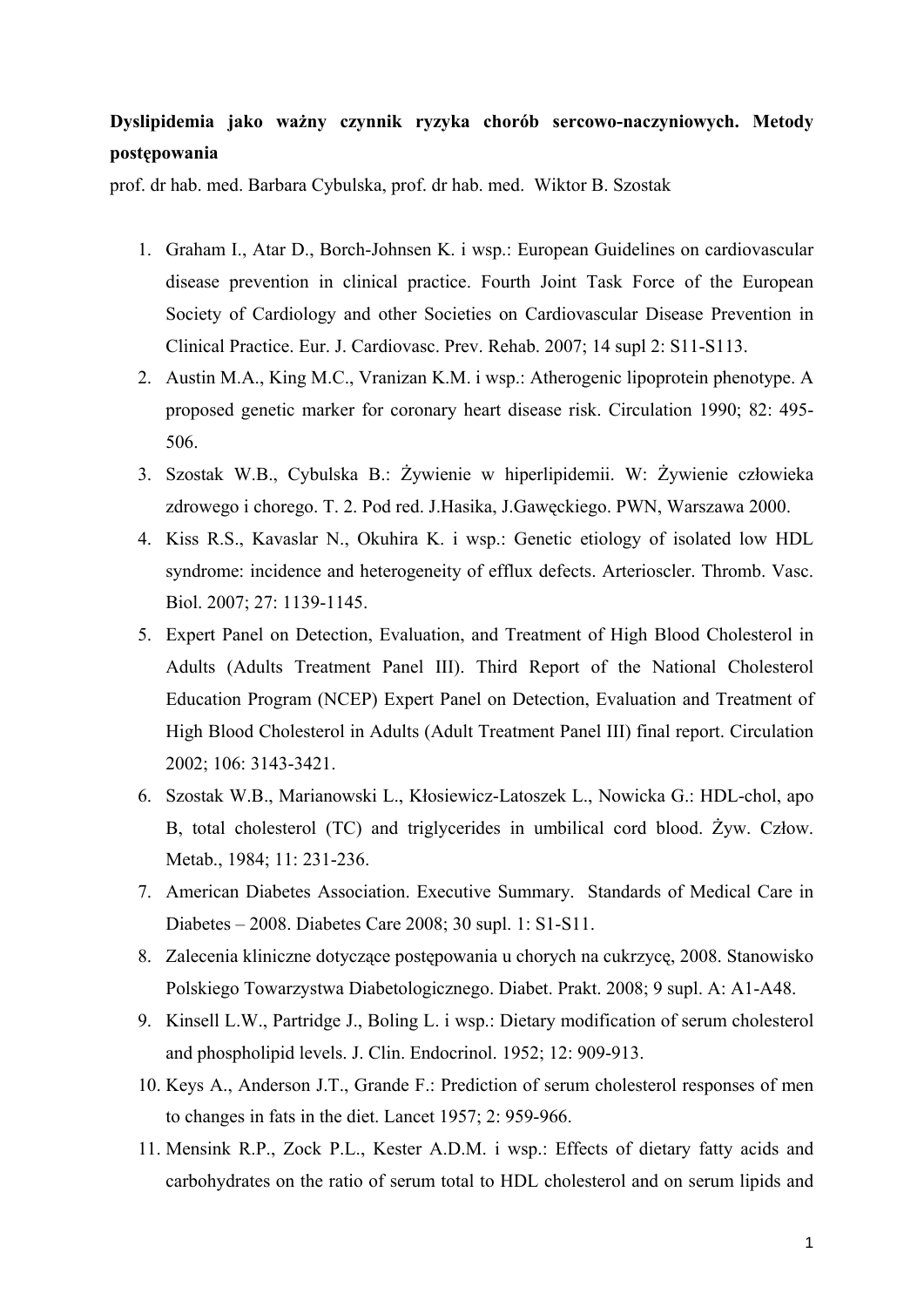## **Dyslipidemia jako ważny czynnik ryzyka chorób sercowo-naczyniowych. Metody postępowania**

prof. dr hab. med. Barbara Cybulska, prof. dr hab. med. Wiktor B. Szostak

- 1. Graham I., Atar D., Borch-Johnsen K. i wsp.: European Guidelines on cardiovascular disease prevention in clinical practice. Fourth Joint Task Force of the European Society of Cardiology and other Societies on Cardiovascular Disease Prevention in Clinical Practice. Eur. J. Cardiovasc. Prev. Rehab. 2007; 14 supl 2: S11-S113.
- 2. Austin M.A., King M.C., Vranizan K.M. i wsp.: Atherogenic lipoprotein phenotype. A proposed genetic marker for coronary heart disease risk. Circulation 1990; 82: 495- 506.
- 3. Szostak W.B., Cybulska B.: Żywienie w hiperlipidemii. W: Żywienie człowieka zdrowego i chorego. T. 2. Pod red. J.Hasika, J.Gawęckiego. PWN, Warszawa 2000.
- 4. Kiss R.S., Kavaslar N., Okuhira K. i wsp.: Genetic etiology of isolated low HDL syndrome: incidence and heterogeneity of efflux defects. Arterioscler. Thromb. Vasc. Biol. 2007; 27: 1139-1145.
- 5. Expert Panel on Detection, Evaluation, and Treatment of High Blood Cholesterol in Adults (Adults Treatment Panel III). Third Report of the National Cholesterol Education Program (NCEP) Expert Panel on Detection, Evaluation and Treatment of High Blood Cholesterol in Adults (Adult Treatment Panel III) final report. Circulation 2002; 106: 3143-3421.
- 6. Szostak W.B., Marianowski L., Kłosiewicz-Latoszek L., Nowicka G.: HDL-chol, apo B, total cholesterol (TC) and triglycerides in umbilical cord blood. Żyw. Człow. Metab., 1984; 11: 231-236.
- 7. American Diabetes Association. Executive Summary. Standards of Medical Care in Diabetes – 2008. Diabetes Care 2008; 30 supl. 1: S1-S11.
- 8. Zalecenia kliniczne dotyczące postępowania u chorych na cukrzycę, 2008. Stanowisko Polskiego Towarzystwa Diabetologicznego. Diabet. Prakt. 2008; 9 supl. A: A1-A48.
- 9. Kinsell L.W., Partridge J., Boling L. i wsp.: Dietary modification of serum cholesterol and phospholipid levels. J. Clin. Endocrinol. 1952; 12: 909-913.
- 10. Keys A., Anderson J.T., Grande F.: Prediction of serum cholesterol responses of men to changes in fats in the diet. Lancet 1957; 2: 959-966.
- 11. Mensink R.P., Zock P.L., Kester A.D.M. i wsp.: Effects of dietary fatty acids and carbohydrates on the ratio of serum total to HDL cholesterol and on serum lipids and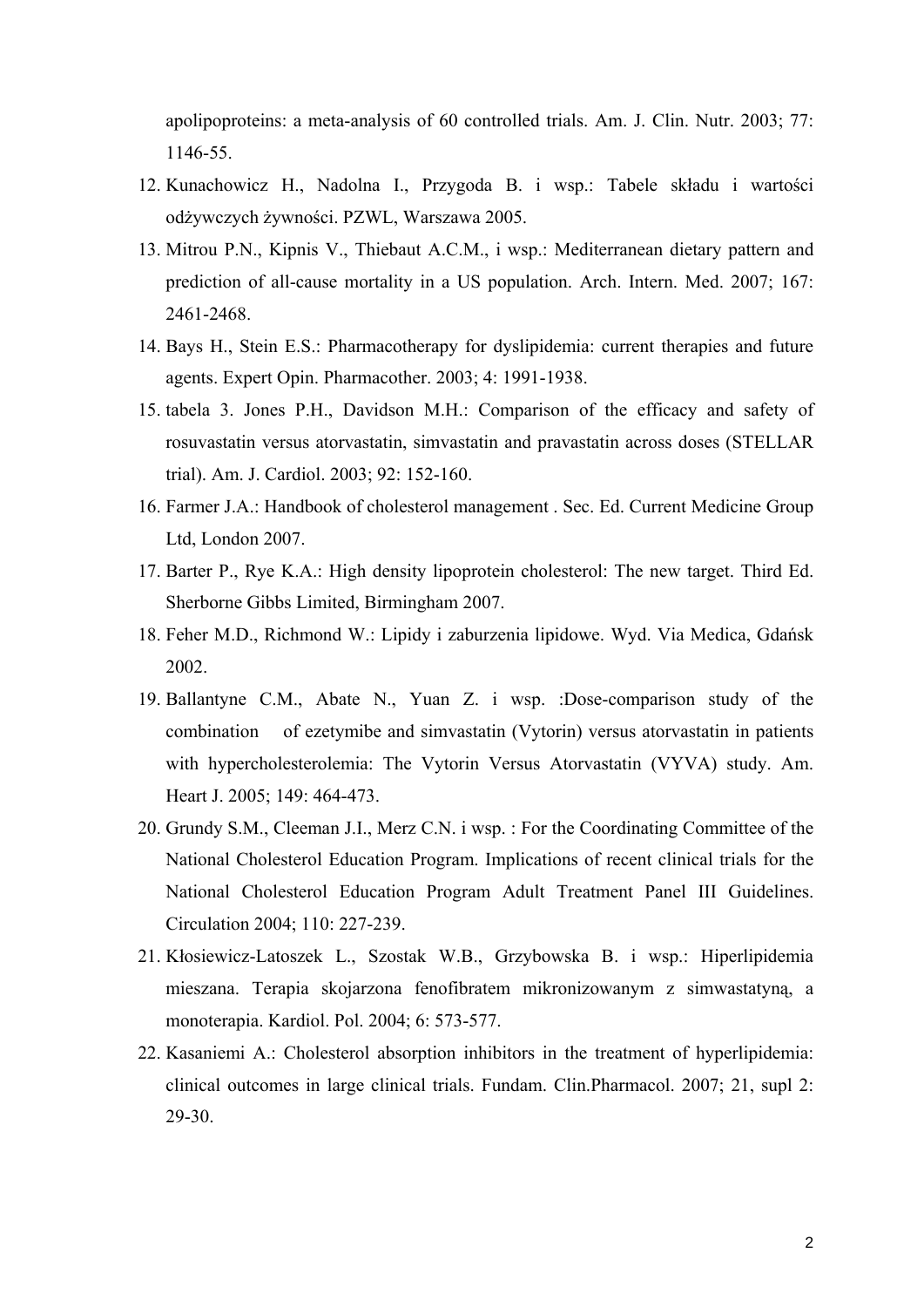apolipoproteins: a meta-analysis of 60 controlled trials. Am. J. Clin. Nutr. 2003; 77: 1146-55.

- 12. Kunachowicz H., Nadolna I., Przygoda B. i wsp.: Tabele składu i wartości odżywczych żywności. PZWL, Warszawa 2005.
- 13. Mitrou P.N., Kipnis V., Thiebaut A.C.M., i wsp.: Mediterranean dietary pattern and prediction of all-cause mortality in a US population. Arch. Intern. Med. 2007; 167: 2461-2468.
- 14. Bays H., Stein E.S.: Pharmacotherapy for dyslipidemia: current therapies and future agents. Expert Opin. Pharmacother. 2003; 4: 1991-1938.
- 15. tabela 3. Jones P.H., Davidson M.H.: Comparison of the efficacy and safety of rosuvastatin versus atorvastatin, simvastatin and pravastatin across doses (STELLAR trial). Am. J. Cardiol. 2003; 92: 152-160.
- 16. Farmer J.A.: Handbook of cholesterol management . Sec. Ed. Current Medicine Group Ltd, London 2007.
- 17. Barter P., Rye K.A.: High density lipoprotein cholesterol: The new target. Third Ed. Sherborne Gibbs Limited, Birmingham 2007.
- 18. Feher M.D., Richmond W.: Lipidy i zaburzenia lipidowe. Wyd. Via Medica, Gdańsk 2002.
- 19. Ballantyne C.M., Abate N., Yuan Z. i wsp. :Dose-comparison study of the combination of ezetymibe and simvastatin (Vytorin) versus atorvastatin in patients with hypercholesterolemia: The Vytorin Versus Atorvastatin (VYVA) study. Am. Heart J. 2005; 149: 464-473.
- 20. Grundy S.M., Cleeman J.I., Merz C.N. i wsp. : For the Coordinating Committee of the National Cholesterol Education Program. Implications of recent clinical trials for the National Cholesterol Education Program Adult Treatment Panel III Guidelines. Circulation 2004; 110: 227-239.
- 21. Kłosiewicz-Latoszek L., Szostak W.B., Grzybowska B. i wsp.: Hiperlipidemia mieszana. Terapia skojarzona fenofibratem mikronizowanym z simwastatyną, a monoterapia. Kardiol. Pol. 2004; 6: 573-577.
- 22. Kasaniemi A.: Cholesterol absorption inhibitors in the treatment of hyperlipidemia: clinical outcomes in large clinical trials. Fundam. Clin.Pharmacol. 2007; 21, supl 2: 29-30.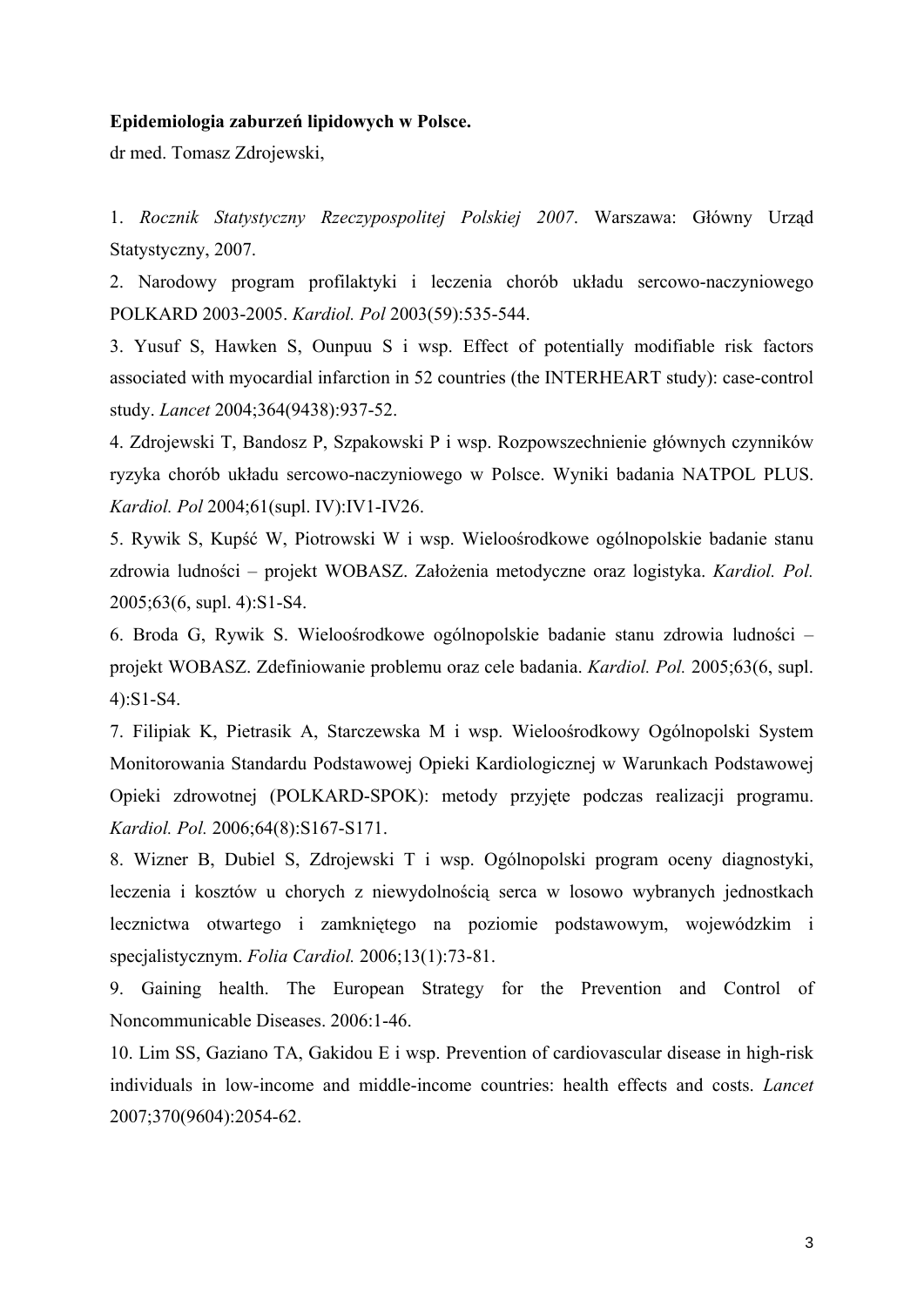#### **Epidemiologia zaburzeń lipidowych w Polsce.**

dr med. Tomasz Zdrojewski,

1. *Rocznik Statystyczny Rzeczypospolitej Polskiej 2007*. Warszawa: Główny Urząd Statystyczny, 2007.

2. Narodowy program profilaktyki i leczenia chorób układu sercowo-naczyniowego POLKARD 2003-2005. *Kardiol. Pol* 2003(59):535-544.

3. Yusuf S, Hawken S, Ounpuu S i wsp. Effect of potentially modifiable risk factors associated with myocardial infarction in 52 countries (the INTERHEART study): case-control study. *Lancet* 2004;364(9438):937-52.

4. Zdrojewski T, Bandosz P, Szpakowski P i wsp. Rozpowszechnienie głównych czynników ryzyka chorób układu sercowo-naczyniowego w Polsce. Wyniki badania NATPOL PLUS. *Kardiol. Pol* 2004;61(supl. IV):IV1-IV26.

5. Rywik S, Kupść W, Piotrowski W i wsp. Wieloośrodkowe ogólnopolskie badanie stanu zdrowia ludności – projekt WOBASZ. Założenia metodyczne oraz logistyka. *Kardiol. Pol.* 2005;63(6, supl. 4):S1-S4.

6. Broda G, Rywik S. Wieloośrodkowe ogólnopolskie badanie stanu zdrowia ludności – projekt WOBASZ. Zdefiniowanie problemu oraz cele badania. *Kardiol. Pol.* 2005;63(6, supl. 4):S1-S4.

7. Filipiak K, Pietrasik A, Starczewska M i wsp. Wieloośrodkowy Ogólnopolski System Monitorowania Standardu Podstawowej Opieki Kardiologicznej w Warunkach Podstawowej Opieki zdrowotnej (POLKARD-SPOK): metody przyjęte podczas realizacji programu. *Kardiol. Pol.* 2006;64(8):S167-S171.

8. Wizner B, Dubiel S, Zdrojewski T i wsp. Ogólnopolski program oceny diagnostyki, leczenia i kosztów u chorych z niewydolnością serca w losowo wybranych jednostkach lecznictwa otwartego i zamkniętego na poziomie podstawowym, wojewódzkim i specjalistycznym. *Folia Cardiol.* 2006;13(1):73-81.

9. Gaining health. The European Strategy for the Prevention and Control of Noncommunicable Diseases. 2006:1-46.

10. Lim SS, Gaziano TA, Gakidou E i wsp. Prevention of cardiovascular disease in high-risk individuals in low-income and middle-income countries: health effects and costs. *Lancet* 2007;370(9604):2054-62.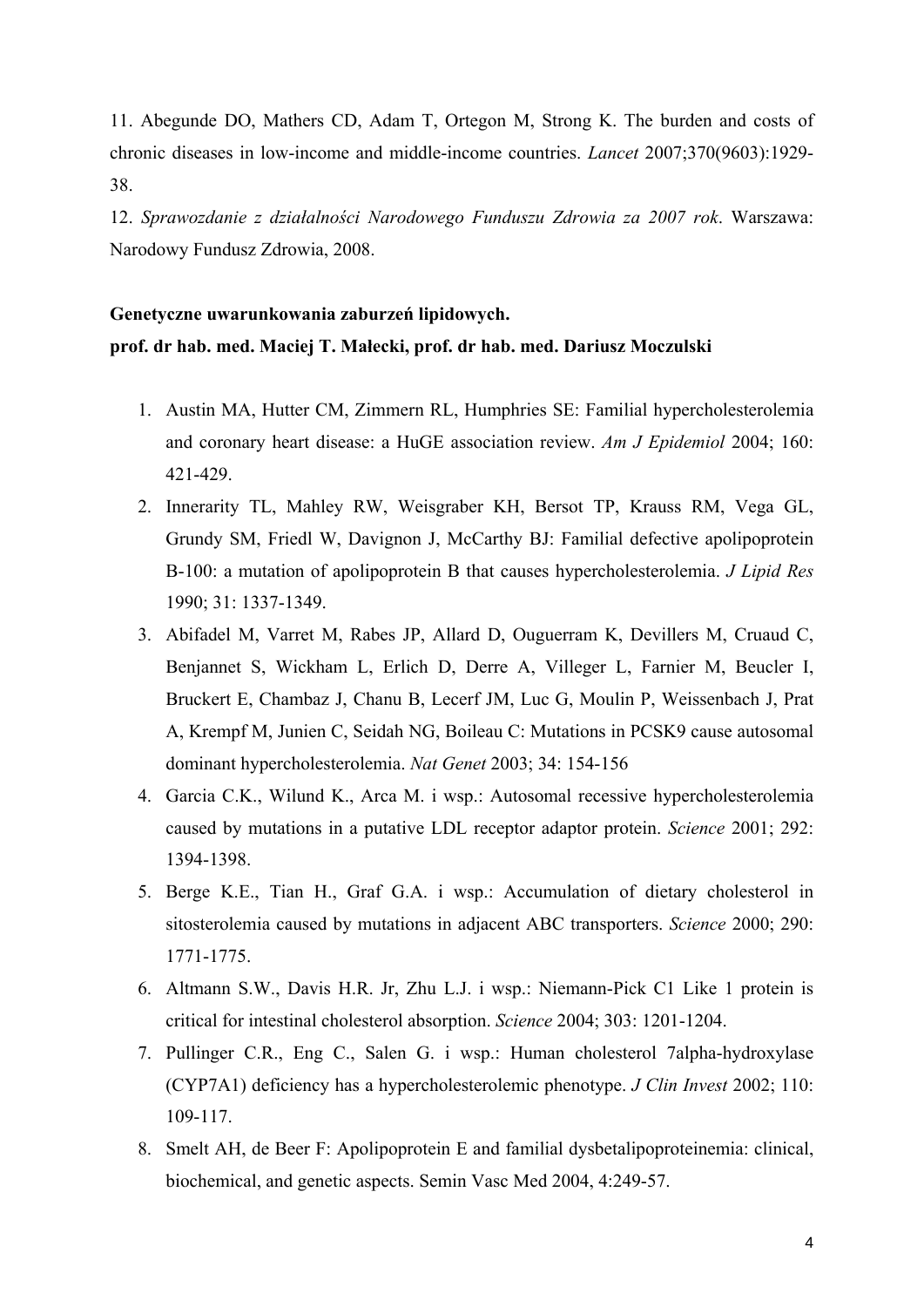11. Abegunde DO, Mathers CD, Adam T, Ortegon M, Strong K. The burden and costs of chronic diseases in low-income and middle-income countries. *Lancet* 2007;370(9603):1929- 38.

12. *Sprawozdanie z działalności Narodowego Funduszu Zdrowia za 2007 rok*. Warszawa: Narodowy Fundusz Zdrowia, 2008.

### **Genetyczne uwarunkowania zaburzeń lipidowych. prof. dr hab. med. Maciej T. Małecki, prof. dr hab. med. Dariusz Moczulski**

- 1. Austin MA, Hutter CM, Zimmern RL, Humphries SE: Familial hypercholesterolemia and coronary heart disease: a HuGE association review. *Am J Epidemiol* 2004; 160: 421-429.
- 2. Innerarity TL, Mahley RW, Weisgraber KH, Bersot TP, Krauss RM, Vega GL, Grundy SM, Friedl W, Davignon J, McCarthy BJ: Familial defective apolipoprotein B-100: a mutation of apolipoprotein B that causes hypercholesterolemia. *J Lipid Res* 1990; 31: 1337-1349.
- 3. Abifadel M, Varret M, Rabes JP, Allard D, Ouguerram K, Devillers M, Cruaud C, Benjannet S, Wickham L, Erlich D, Derre A, Villeger L, Farnier M, Beucler I, Bruckert E, Chambaz J, Chanu B, Lecerf JM, Luc G, Moulin P, Weissenbach J, Prat A, Krempf M, Junien C, Seidah NG, Boileau C: Mutations in PCSK9 cause autosomal dominant hypercholesterolemia. *Nat Genet* 2003; 34: 154-156
- 4. Garcia C.K., Wilund K., Arca M. i wsp.: Autosomal recessive hypercholesterolemia caused by mutations in a putative LDL receptor adaptor protein. *Science* 2001; 292: 1394-1398.
- 5. Berge K.E., Tian H., Graf G.A. i wsp.: Accumulation of dietary cholesterol in sitosterolemia caused by mutations in adjacent ABC transporters. *Science* 2000; 290: 1771-1775.
- 6. Altmann S.W., Davis H.R. Jr, Zhu L.J. i wsp.: Niemann-Pick C1 Like 1 protein is critical for intestinal cholesterol absorption. *Science* 2004; 303: 1201-1204.
- 7. Pullinger C.R., Eng C., Salen G. i wsp.: Human cholesterol 7alpha-hydroxylase (CYP7A1) deficiency has a hypercholesterolemic phenotype. *J Clin Invest* 2002; 110: 109-117.
- 8. Smelt AH, de Beer F: Apolipoprotein E and familial dysbetalipoproteinemia: clinical, biochemical, and genetic aspects. Semin Vasc Med 2004, 4:249-57.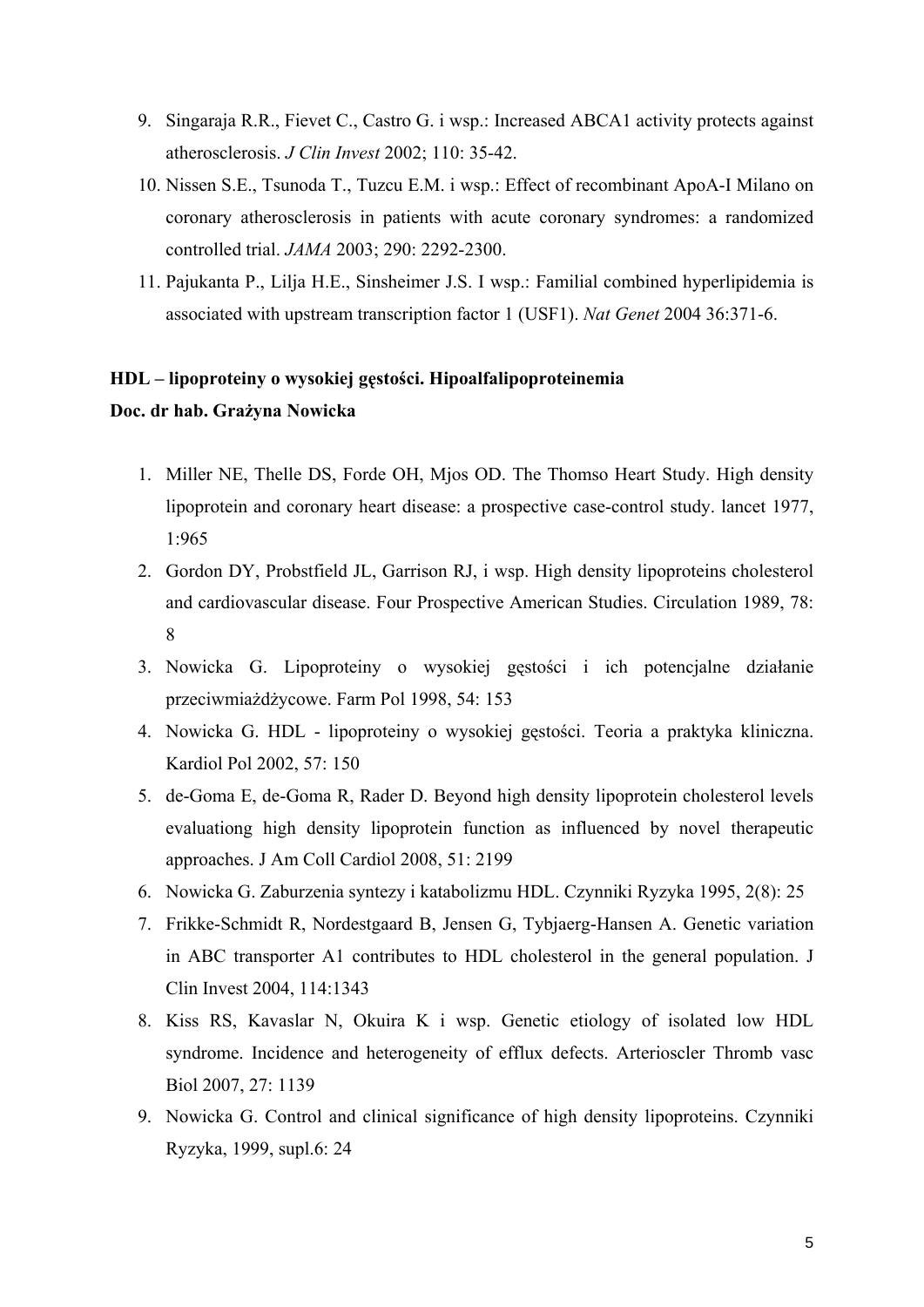- 9. Singaraja R.R., Fievet C., Castro G. i wsp.: Increased ABCA1 activity protects against atherosclerosis. *J Clin Invest* 2002; 110: 35-42.
- 10. Nissen S.E., Tsunoda T., Tuzcu E.M. i wsp.: Effect of recombinant ApoA-I Milano on coronary atherosclerosis in patients with acute coronary syndromes: a randomized controlled trial. *JAMA* 2003; 290: 2292-2300.
- 11. Pajukanta P., Lilja H.E., Sinsheimer J.S. I wsp.: Familial combined hyperlipidemia is associated with upstream transcription factor 1 (USF1). *Nat Genet* 2004 36:371-6.

### **HDL – lipoproteiny o wysokiej gęstości. Hipoalfalipoproteinemia**

#### **Doc. dr hab. Grażyna Nowicka**

- 1. Miller NE, Thelle DS, Forde OH, Mjos OD. The Thomso Heart Study. High density lipoprotein and coronary heart disease: a prospective case-control study. lancet 1977, 1:965
- 2. Gordon DY, Probstfield JL, Garrison RJ, i wsp. High density lipoproteins cholesterol and cardiovascular disease. Four Prospective American Studies. Circulation 1989, 78: 8
- 3. Nowicka G. Lipoproteiny o wysokiej gęstości i ich potencjalne działanie przeciwmiażdżycowe. Farm Pol 1998, 54: 153
- 4. Nowicka G. HDL lipoproteiny o wysokiej gęstości. Teoria a praktyka kliniczna. Kardiol Pol 2002, 57: 150
- 5. de-Goma E, de-Goma R, Rader D. Beyond high density lipoprotein cholesterol levels evaluationg high density lipoprotein function as influenced by novel therapeutic approaches. J Am Coll Cardiol 2008, 51: 2199
- 6. Nowicka G. Zaburzenia syntezy i katabolizmu HDL. Czynniki Ryzyka 1995, 2(8): 25
- 7. Frikke-Schmidt R, Nordestgaard B, Jensen G, Tybjaerg-Hansen A. Genetic variation in ABC transporter A1 contributes to HDL cholesterol in the general population. J Clin Invest 2004, 114:1343
- 8. Kiss RS, Kavaslar N, Okuira K i wsp. Genetic etiology of isolated low HDL syndrome. Incidence and heterogeneity of efflux defects. Arterioscler Thromb vasc Biol 2007, 27: 1139
- 9. Nowicka G. Control and clinical significance of high density lipoproteins. Czynniki Ryzyka, 1999, supl.6: 24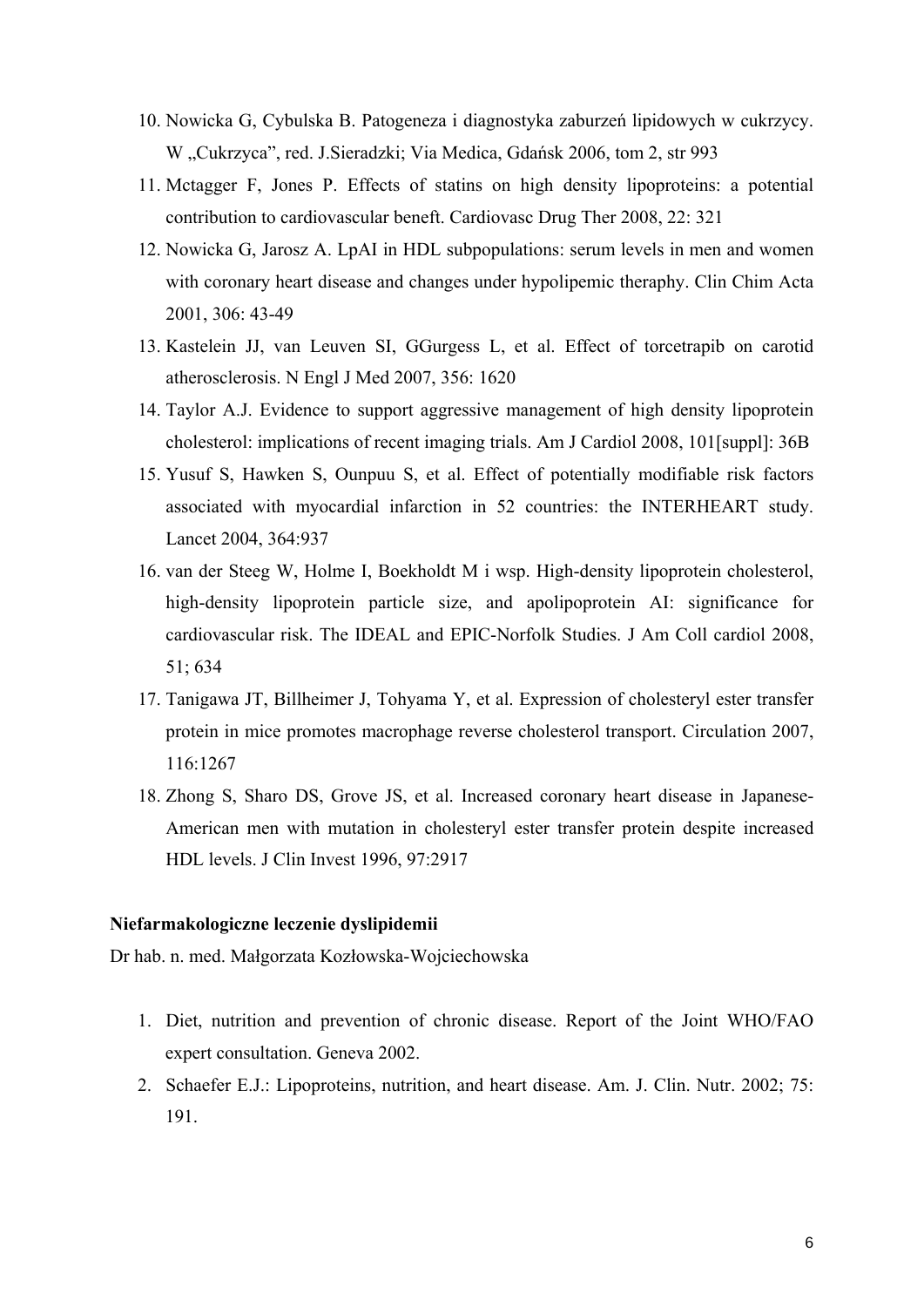- 10. Nowicka G, Cybulska B. Patogeneza i diagnostyka zaburzeń lipidowych w cukrzycy. W "Cukrzyca", red. J. Sieradzki; Via Medica, Gdańsk 2006, tom 2, str 993
- 11. Mctagger F, Jones P. Effects of statins on high density lipoproteins: a potential contribution to cardiovascular beneft. Cardiovasc Drug Ther 2008, 22: 321
- 12. Nowicka G, Jarosz A. LpAI in HDL subpopulations: serum levels in men and women with coronary heart disease and changes under hypolipemic theraphy. Clin Chim Acta 2001, 306: 43-49
- 13. Kastelein JJ, van Leuven SI, GGurgess L, et al. Effect of torcetrapib on carotid atherosclerosis. N Engl J Med 2007, 356: 1620
- 14. Taylor A.J. Evidence to support aggressive management of high density lipoprotein cholesterol: implications of recent imaging trials. Am J Cardiol 2008, 101[suppl]: 36B
- 15. Yusuf S, Hawken S, Ounpuu S, et al. Effect of potentially modifiable risk factors associated with myocardial infarction in 52 countries: the INTERHEART study. Lancet 2004, 364:937
- 16. van der Steeg W, Holme I, Boekholdt M i wsp. High-density lipoprotein cholesterol, high-density lipoprotein particle size, and apolipoprotein AI: significance for cardiovascular risk. The IDEAL and EPIC-Norfolk Studies. J Am Coll cardiol 2008, 51; 634
- 17. Tanigawa JT, Billheimer J, Tohyama Y, et al. Expression of cholesteryl ester transfer protein in mice promotes macrophage reverse cholesterol transport. Circulation 2007, 116:1267
- 18. Zhong S, Sharo DS, Grove JS, et al. Increased coronary heart disease in Japanese-American men with mutation in cholesteryl ester transfer protein despite increased HDL levels. J Clin Invest 1996, 97:2917

#### **Niefarmakologiczne leczenie dyslipidemii**

Dr hab. n. med. Małgorzata Kozłowska-Wojciechowska

- 1. Diet, nutrition and prevention of chronic disease. Report of the Joint WHO/FAO expert consultation. Geneva 2002.
- 2. Schaefer E.J.: Lipoproteins, nutrition, and heart disease. Am. J. Clin. Nutr. 2002; 75: 191.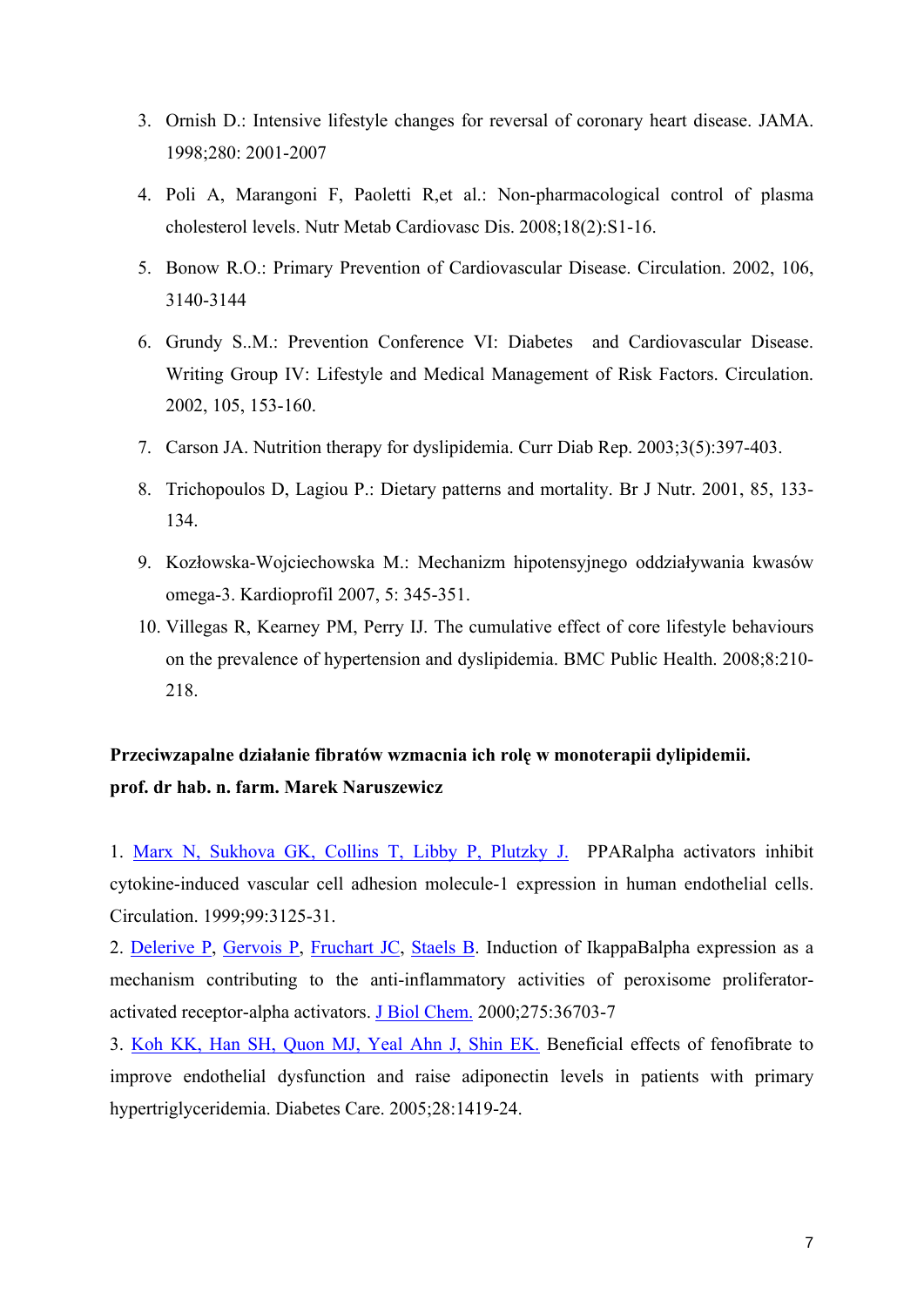- 3. Ornish D.: Intensive lifestyle changes for reversal of coronary heart disease. JAMA. 1998;280: 2001-2007
- 4. [Poli A,](http://www.ncbi.nlm.nih.gov/sites/entrez?Db=pubmed&Cmd=Search&Term=%22Poli%20A%22%5BAuthor%5D&itool=EntrezSystem2.PEntrez.Pubmed.Pubmed_ResultsPanel.Pubmed_DiscoveryPanel.Pubmed_RVAbstractPlus) [Marangoni F](http://www.ncbi.nlm.nih.gov/sites/entrez?Db=pubmed&Cmd=Search&Term=%22Marangoni%20F%22%5BAuthor%5D&itool=EntrezSystem2.PEntrez.Pubmed.Pubmed_ResultsPanel.Pubmed_DiscoveryPanel.Pubmed_RVAbstractPlus), [Paoletti R](http://www.ncbi.nlm.nih.gov/sites/entrez?Db=pubmed&Cmd=Search&Term=%22Paoletti%20R%22%5BAuthor%5D&itool=EntrezSystem2.PEntrez.Pubmed.Pubmed_ResultsPanel.Pubmed_DiscoveryPanel.Pubmed_RVAbstractPlus),et al.: Non-pharmacological control of plasma cholesterol levels. [Nutr Metab Cardiovasc Dis.](javascript:AL_get(this,%20) 2008;18(2):S1-16.
- 5. Bonow R.O.: Primary Prevention of Cardiovascular Disease. Circulation. 2002, 106, 3140-3144
- 6. Grundy S..M.: Prevention Conference VI: Diabetes and Cardiovascular Disease. Writing Group IV: Lifestyle and Medical Management of Risk Factors. Circulation. 2002, 105, 153-160.
- 7. [Carson JA](http://www.ncbi.nlm.nih.gov/sites/entrez?Db=pubmed&Cmd=Search&Term=%22Carson%20JA%22%5BAuthor%5D&itool=EntrezSystem2.PEntrez.Pubmed.Pubmed_ResultsPanel.Pubmed_DiscoveryPanel.Pubmed_RVAbstractPlus). Nutrition therapy for dyslipidemia. [Curr Diab Rep.](javascript:AL_get(this,%20) 2003;3(5):397-403.
- 8. Trichopoulos D, Lagiou P.: Dietary patterns and mortality. Br J Nutr. 2001, 85, 133- 134.
- 9. Kozłowska-Wojciechowska M.: Mechanizm hipotensyjnego oddziaływania kwasów omega-3. Kardioprofil 2007, 5: 345-351.
- 10. [Villegas R,](http://www.ncbi.nlm.nih.gov/sites/entrez?Db=pubmed&Cmd=Search&Term=%22Villegas%20R%22%5BAuthor%5D&itool=EntrezSystem2.PEntrez.Pubmed.Pubmed_ResultsPanel.Pubmed_DiscoveryPanel.Pubmed_RVAbstractPlus) [Kearney PM,](http://www.ncbi.nlm.nih.gov/sites/entrez?Db=pubmed&Cmd=Search&Term=%22Kearney%20PM%22%5BAuthor%5D&itool=EntrezSystem2.PEntrez.Pubmed.Pubmed_ResultsPanel.Pubmed_DiscoveryPanel.Pubmed_RVAbstractPlus) [Perry IJ.](http://www.ncbi.nlm.nih.gov/sites/entrez?Db=pubmed&Cmd=Search&Term=%22Perry%20IJ%22%5BAuthor%5D&itool=EntrezSystem2.PEntrez.Pubmed.Pubmed_ResultsPanel.Pubmed_DiscoveryPanel.Pubmed_RVAbstractPlus) The cumulative effect of core lifestyle behaviours on the prevalence of hypertension and dyslipidemia. [BMC Public Health.](javascript:AL_get(this,%20) 2008;8:210- 218.

# **Przeciwzapalne działanie fibratów wzmacnia ich rolę w monoterapii dylipidemii. prof. dr hab. n. farm. Marek Naruszewicz**

1. [Marx N, Sukhova GK, Collins T, Libby P, Plutzky J.](http://www.ncbi.nlm.nih.gov/pubmed/10377075?ordinalpos=1&itool=EntrezSystem2.PEntrez.Pubmed.Pubmed_ResultsPanel.Pubmed_RVDocSum) PPARalpha activators inhibit cytokine-induced vascular cell adhesion molecule-1 expression in human endothelial cells. Circulation. 1999;99:3125-31.

2. [Delerive P,](http://www.ncbi.nlm.nih.gov/sites/entrez?Db=pubmed&Cmd=Search&Term=%22Delerive%20P%22%5BAuthor%5D&itool=EntrezSystem2.PEntrez.Pubmed.Pubmed_ResultsPanel.Pubmed_DiscoveryPanel.Pubmed_RVAbstractPlus) [Gervois P,](http://www.ncbi.nlm.nih.gov/sites/entrez?Db=pubmed&Cmd=Search&Term=%22Gervois%20P%22%5BAuthor%5D&itool=EntrezSystem2.PEntrez.Pubmed.Pubmed_ResultsPanel.Pubmed_DiscoveryPanel.Pubmed_RVAbstractPlus) [Fruchart JC,](http://www.ncbi.nlm.nih.gov/sites/entrez?Db=pubmed&Cmd=Search&Term=%22Fruchart%20JC%22%5BAuthor%5D&itool=EntrezSystem2.PEntrez.Pubmed.Pubmed_ResultsPanel.Pubmed_DiscoveryPanel.Pubmed_RVAbstractPlus) [Staels B](http://www.ncbi.nlm.nih.gov/sites/entrez?Db=pubmed&Cmd=Search&Term=%22Staels%20B%22%5BAuthor%5D&itool=EntrezSystem2.PEntrez.Pubmed.Pubmed_ResultsPanel.Pubmed_DiscoveryPanel.Pubmed_RVAbstractPlus). Induction of IkappaBalpha expression as a mechanism contributing to the anti-inflammatory activities of peroxisome proliferatoractivated receptor-alpha activators. [J Biol Chem.](javascript:AL_get(this,%20) 2000;275:36703-7

3. [Koh KK, Han SH, Quon MJ, Yeal Ahn J, Shin EK.](http://www.ncbi.nlm.nih.gov/pubmed/15920062?ordinalpos=22&itool=EntrezSystem2.PEntrez.Pubmed.Pubmed_ResultsPanel.Pubmed_RVDocSum) Beneficial effects of fenofibrate to improve endothelial dysfunction and raise adiponectin levels in patients with primary hypertriglyceridemia. Diabetes Care. 2005;28:1419-24.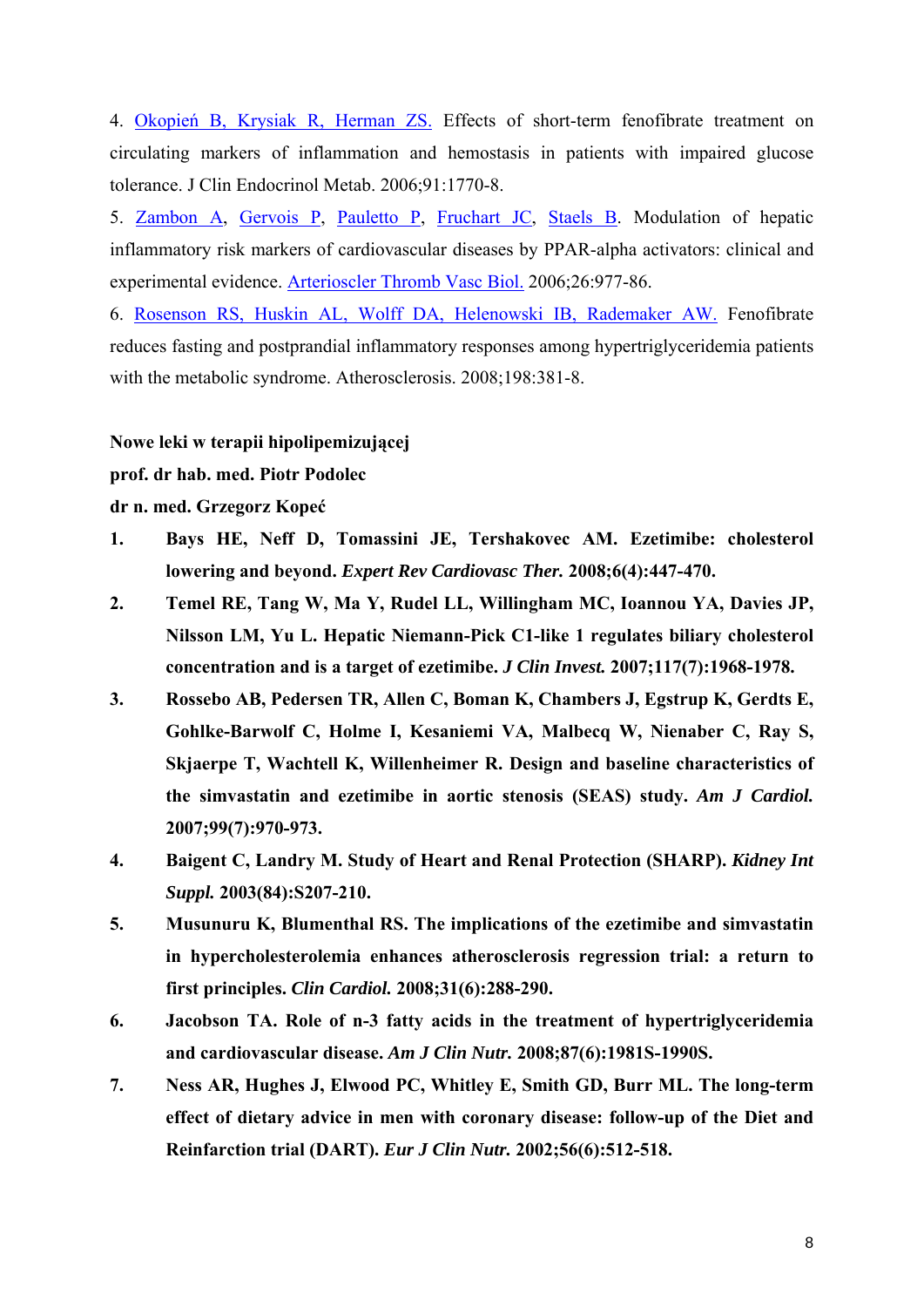4. Okopień [B, Krysiak R, Herman ZS.](http://www.ncbi.nlm.nih.gov/pubmed/16492702?ordinalpos=43&itool=EntrezSystem2.PEntrez.Pubmed.Pubmed_ResultsPanel.Pubmed_RVDocSum) Effects of short-term fenofibrate treatment on circulating markers of inflammation and hemostasis in patients with impaired glucose tolerance. J Clin Endocrinol Metab. 2006;91:1770-8.

5. [Zambon A,](http://www.ncbi.nlm.nih.gov/sites/entrez?Db=pubmed&Cmd=Search&Term=%22Zambon%20A%22%5BAuthor%5D&itool=EntrezSystem2.PEntrez.Pubmed.Pubmed_ResultsPanel.Pubmed_DiscoveryPanel.Pubmed_RVAbstractPlus) [Gervois P,](http://www.ncbi.nlm.nih.gov/sites/entrez?Db=pubmed&Cmd=Search&Term=%22Gervois%20P%22%5BAuthor%5D&itool=EntrezSystem2.PEntrez.Pubmed.Pubmed_ResultsPanel.Pubmed_DiscoveryPanel.Pubmed_RVAbstractPlus) [Pauletto P](http://www.ncbi.nlm.nih.gov/sites/entrez?Db=pubmed&Cmd=Search&Term=%22Pauletto%20P%22%5BAuthor%5D&itool=EntrezSystem2.PEntrez.Pubmed.Pubmed_ResultsPanel.Pubmed_DiscoveryPanel.Pubmed_RVAbstractPlus), [Fruchart JC,](http://www.ncbi.nlm.nih.gov/sites/entrez?Db=pubmed&Cmd=Search&Term=%22Fruchart%20JC%22%5BAuthor%5D&itool=EntrezSystem2.PEntrez.Pubmed.Pubmed_ResultsPanel.Pubmed_DiscoveryPanel.Pubmed_RVAbstractPlus) [Staels B.](http://www.ncbi.nlm.nih.gov/sites/entrez?Db=pubmed&Cmd=Search&Term=%22Staels%20B%22%5BAuthor%5D&itool=EntrezSystem2.PEntrez.Pubmed.Pubmed_ResultsPanel.Pubmed_DiscoveryPanel.Pubmed_RVAbstractPlus) Modulation of hepatic inflammatory risk markers of cardiovascular diseases by PPAR-alpha activators: clinical and experimental evidence. [Arterioscler Thromb Vasc Biol.](javascript:AL_get(this,%20) 2006;26:977-86.

6. [Rosenson RS, Huskin AL, Wolff DA, Helenowski IB, Rademaker AW.](http://www.ncbi.nlm.nih.gov/pubmed/18242616?ordinalpos=1&itool=EntrezSystem2.PEntrez.Pubmed.Pubmed_ResultsPanel.Pubmed_RVDocSum) Fenofibrate reduces fasting and postprandial inflammatory responses among hypertriglyceridemia patients with the metabolic syndrome. Atherosclerosis. 2008;198:381-8.

**Nowe leki w terapii hipolipemizującej** 

**prof. dr hab. med. Piotr Podolec** 

**dr n. med. Grzegorz Kopeć**

- **1. Bays HE, Neff D, Tomassini JE, Tershakovec AM. Ezetimibe: cholesterol lowering and beyond.** *Expert Rev Cardiovasc Ther.* **2008;6(4):447-470.**
- **2. Temel RE, Tang W, Ma Y, Rudel LL, Willingham MC, Ioannou YA, Davies JP, Nilsson LM, Yu L. Hepatic Niemann-Pick C1-like 1 regulates biliary cholesterol concentration and is a target of ezetimibe.** *J Clin Invest.* **2007;117(7):1968-1978.**
- **3. Rossebo AB, Pedersen TR, Allen C, Boman K, Chambers J, Egstrup K, Gerdts E, Gohlke-Barwolf C, Holme I, Kesaniemi VA, Malbecq W, Nienaber C, Ray S, Skjaerpe T, Wachtell K, Willenheimer R. Design and baseline characteristics of the simvastatin and ezetimibe in aortic stenosis (SEAS) study.** *Am J Cardiol.*  **2007;99(7):970-973.**
- **4. Baigent C, Landry M. Study of Heart and Renal Protection (SHARP).** *Kidney Int Suppl.* **2003(84):S207-210.**
- **5. Musunuru K, Blumenthal RS. The implications of the ezetimibe and simvastatin in hypercholesterolemia enhances atherosclerosis regression trial: a return to first principles.** *Clin Cardiol.* **2008;31(6):288-290.**
- **6. Jacobson TA. Role of n-3 fatty acids in the treatment of hypertriglyceridemia and cardiovascular disease.** *Am J Clin Nutr.* **2008;87(6):1981S-1990S.**
- **7. Ness AR, Hughes J, Elwood PC, Whitley E, Smith GD, Burr ML. The long-term effect of dietary advice in men with coronary disease: follow-up of the Diet and Reinfarction trial (DART).** *Eur J Clin Nutr.* **2002;56(6):512-518.**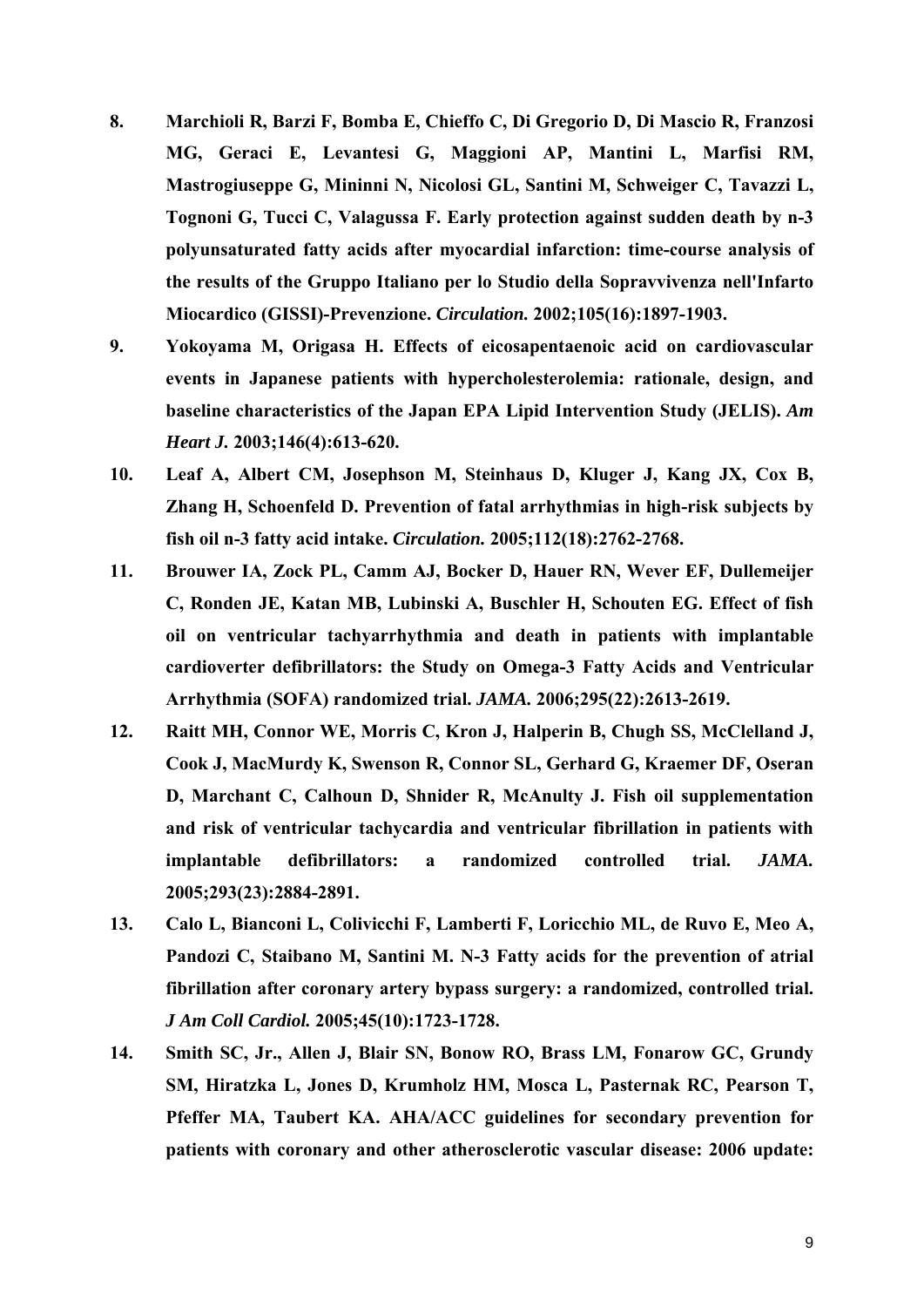- **8. Marchioli R, Barzi F, Bomba E, Chieffo C, Di Gregorio D, Di Mascio R, Franzosi MG, Geraci E, Levantesi G, Maggioni AP, Mantini L, Marfisi RM, Mastrogiuseppe G, Mininni N, Nicolosi GL, Santini M, Schweiger C, Tavazzi L, Tognoni G, Tucci C, Valagussa F. Early protection against sudden death by n-3 polyunsaturated fatty acids after myocardial infarction: time-course analysis of the results of the Gruppo Italiano per lo Studio della Sopravvivenza nell'Infarto Miocardico (GISSI)-Prevenzione.** *Circulation.* **2002;105(16):1897-1903.**
- **9. Yokoyama M, Origasa H. Effects of eicosapentaenoic acid on cardiovascular events in Japanese patients with hypercholesterolemia: rationale, design, and baseline characteristics of the Japan EPA Lipid Intervention Study (JELIS).** *Am Heart J.* **2003;146(4):613-620.**
- **10. Leaf A, Albert CM, Josephson M, Steinhaus D, Kluger J, Kang JX, Cox B, Zhang H, Schoenfeld D. Prevention of fatal arrhythmias in high-risk subjects by fish oil n-3 fatty acid intake.** *Circulation.* **2005;112(18):2762-2768.**
- **11. Brouwer IA, Zock PL, Camm AJ, Bocker D, Hauer RN, Wever EF, Dullemeijer C, Ronden JE, Katan MB, Lubinski A, Buschler H, Schouten EG. Effect of fish oil on ventricular tachyarrhythmia and death in patients with implantable cardioverter defibrillators: the Study on Omega-3 Fatty Acids and Ventricular Arrhythmia (SOFA) randomized trial.** *JAMA.* **2006;295(22):2613-2619.**
- **12. Raitt MH, Connor WE, Morris C, Kron J, Halperin B, Chugh SS, McClelland J, Cook J, MacMurdy K, Swenson R, Connor SL, Gerhard G, Kraemer DF, Oseran D, Marchant C, Calhoun D, Shnider R, McAnulty J. Fish oil supplementation and risk of ventricular tachycardia and ventricular fibrillation in patients with implantable defibrillators: a randomized controlled trial.** *JAMA.*  **2005;293(23):2884-2891.**
- **13. Calo L, Bianconi L, Colivicchi F, Lamberti F, Loricchio ML, de Ruvo E, Meo A, Pandozi C, Staibano M, Santini M. N-3 Fatty acids for the prevention of atrial fibrillation after coronary artery bypass surgery: a randomized, controlled trial.**  *J Am Coll Cardiol.* **2005;45(10):1723-1728.**
- **14. Smith SC, Jr., Allen J, Blair SN, Bonow RO, Brass LM, Fonarow GC, Grundy SM, Hiratzka L, Jones D, Krumholz HM, Mosca L, Pasternak RC, Pearson T, Pfeffer MA, Taubert KA. AHA/ACC guidelines for secondary prevention for patients with coronary and other atherosclerotic vascular disease: 2006 update:**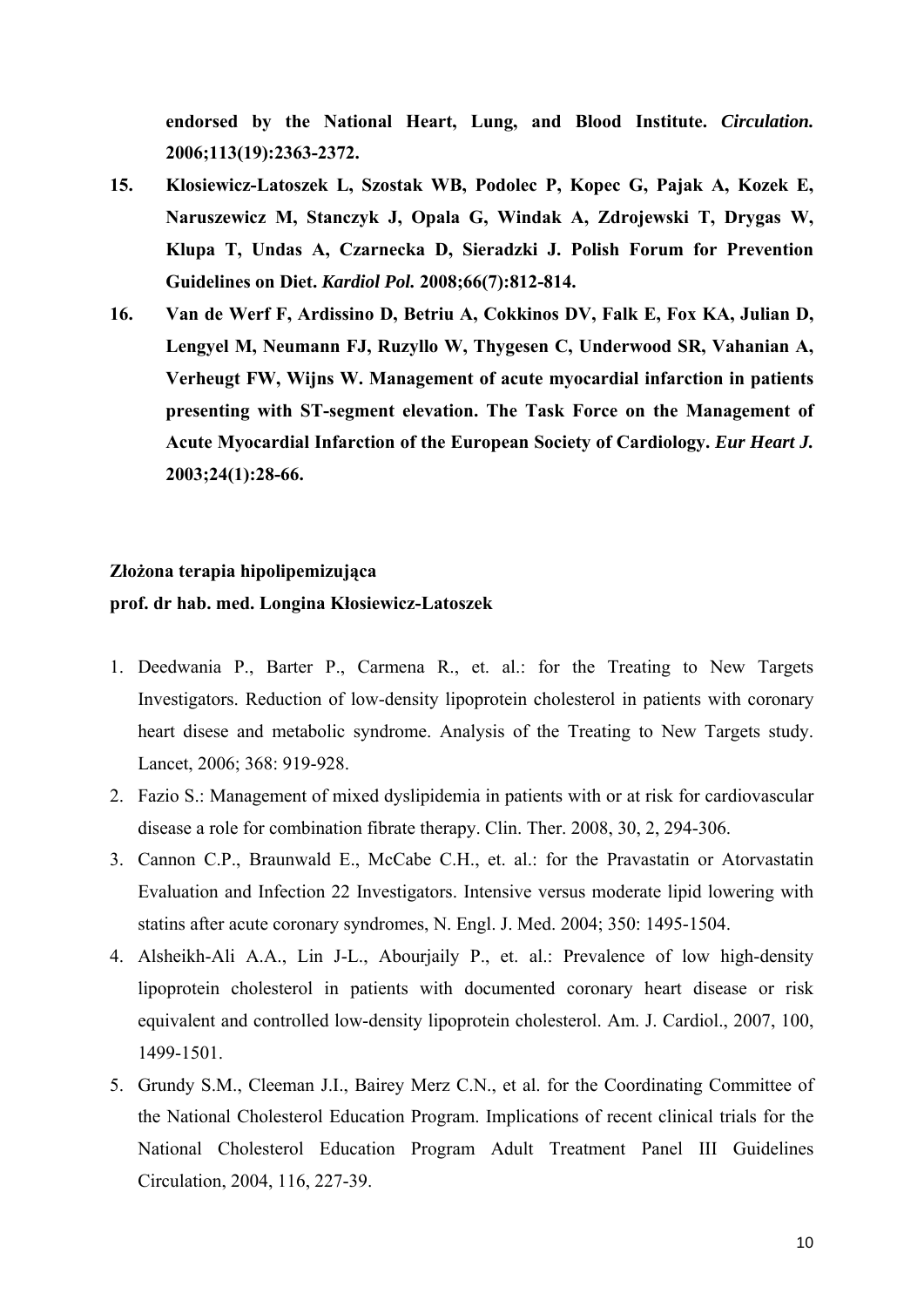**endorsed by the National Heart, Lung, and Blood Institute.** *Circulation.*  **2006;113(19):2363-2372.** 

- **15. Klosiewicz-Latoszek L, Szostak WB, Podolec P, Kopec G, Pajak A, Kozek E, Naruszewicz M, Stanczyk J, Opala G, Windak A, Zdrojewski T, Drygas W, Klupa T, Undas A, Czarnecka D, Sieradzki J. Polish Forum for Prevention Guidelines on Diet.** *Kardiol Pol.* **2008;66(7):812-814.**
- **16. Van de Werf F, Ardissino D, Betriu A, Cokkinos DV, Falk E, Fox KA, Julian D, Lengyel M, Neumann FJ, Ruzyllo W, Thygesen C, Underwood SR, Vahanian A, Verheugt FW, Wijns W. Management of acute myocardial infarction in patients presenting with ST-segment elevation. The Task Force on the Management of Acute Myocardial Infarction of the European Society of Cardiology.** *Eur Heart J.*  **2003;24(1):28-66.**

### **Złożona terapia hipolipemizująca**

#### **prof. dr hab. med. Longina Kłosiewicz-Latoszek**

- 1. Deedwania P., Barter P., Carmena R., et. al.: for the Treating to New Targets Investigators. Reduction of low-density lipoprotein cholesterol in patients with coronary heart disese and metabolic syndrome. Analysis of the Treating to New Targets study. Lancet, 2006; 368: 919-928.
- 2. Fazio S.: Management of mixed dyslipidemia in patients with or at risk for cardiovascular disease a role for combination fibrate therapy. Clin. Ther. 2008, 30, 2, 294-306.
- 3. Cannon C.P., Braunwald E., McCabe C.H., et. al.: for the Pravastatin or Atorvastatin Evaluation and Infection 22 Investigators. Intensive versus moderate lipid lowering with statins after acute coronary syndromes, N. Engl. J. Med. 2004; 350: 1495-1504.
- 4. Alsheikh-Ali A.A., Lin J-L., Abourjaily P., et. al.: Prevalence of low high-density lipoprotein cholesterol in patients with documented coronary heart disease or risk equivalent and controlled low-density lipoprotein cholesterol. Am. J. Cardiol., 2007, 100, 1499-1501.
- 5. Grundy S.M., Cleeman J.I., Bairey Merz C.N., et al. for the Coordinating Committee of the National Cholesterol Education Program. Implications of recent clinical trials for the National Cholesterol Education Program Adult Treatment Panel III Guidelines Circulation, 2004, 116, 227-39.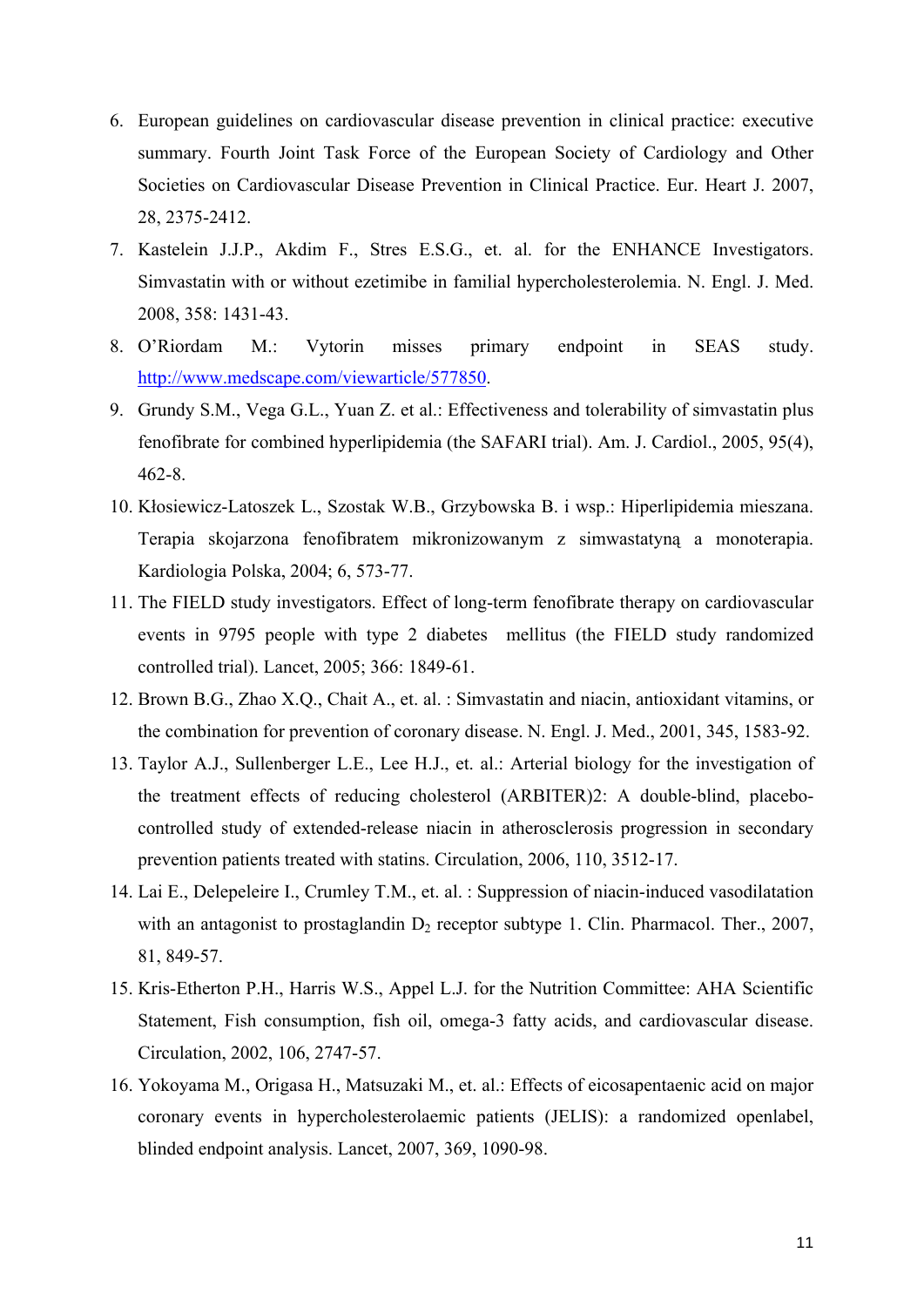- 6. European guidelines on cardiovascular disease prevention in clinical practice: executive summary. Fourth Joint Task Force of the European Society of Cardiology and Other Societies on Cardiovascular Disease Prevention in Clinical Practice. Eur. Heart J. 2007, 28, 2375-2412.
- 7. Kastelein J.J.P., Akdim F., Stres E.S.G., et. al. for the ENHANCE Investigators. Simvastatin with or without ezetimibe in familial hypercholesterolemia. N. Engl. J. Med. 2008, 358: 1431-43.
- 8. O'Riordam M.: Vytorin misses primary endpoint in SEAS study. [http://www.medscape.com/viewarticle/577850.](http://www.medscape.com/viewarticle/577850)
- 9. Grundy S.M., Vega G.L., Yuan Z. et al.: Effectiveness and tolerability of simvastatin plus fenofibrate for combined hyperlipidemia (the SAFARI trial). Am. J. Cardiol., 2005, 95(4), 462-8.
- 10. Kłosiewicz-Latoszek L., Szostak W.B., Grzybowska B. i wsp.: Hiperlipidemia mieszana. Terapia skojarzona fenofibratem mikronizowanym z simwastatyną a monoterapia. Kardiologia Polska, 2004; 6, 573-77.
- 11. The FIELD study investigators. Effect of long-term fenofibrate therapy on cardiovascular events in 9795 people with type 2 diabetes mellitus (the FIELD study randomized controlled trial). Lancet, 2005; 366: 1849-61.
- 12. Brown B.G., Zhao X.Q., Chait A., et. al. : Simvastatin and niacin, antioxidant vitamins, or the combination for prevention of coronary disease. N. Engl. J. Med., 2001, 345, 1583-92.
- 13. Taylor A.J., Sullenberger L.E., Lee H.J., et. al.: Arterial biology for the investigation of the treatment effects of reducing cholesterol (ARBITER)2: A double-blind, placebocontrolled study of extended-release niacin in atherosclerosis progression in secondary prevention patients treated with statins. Circulation, 2006, 110, 3512-17.
- 14. Lai E., Delepeleire I., Crumley T.M., et. al. : Suppression of niacin-induced vasodilatation with an antagonist to prostaglandin  $D_2$  receptor subtype 1. Clin. Pharmacol. Ther., 2007, 81, 849-57.
- 15. Kris-Etherton P.H., Harris W.S., Appel L.J. for the Nutrition Committee: AHA Scientific Statement, Fish consumption, fish oil, omega-3 fatty acids, and cardiovascular disease. Circulation, 2002, 106, 2747-57.
- 16. Yokoyama M., Origasa H., Matsuzaki M., et. al.: Effects of eicosapentaenic acid on major coronary events in hypercholesterolaemic patients (JELIS): a randomized openlabel, blinded endpoint analysis. Lancet, 2007, 369, 1090-98.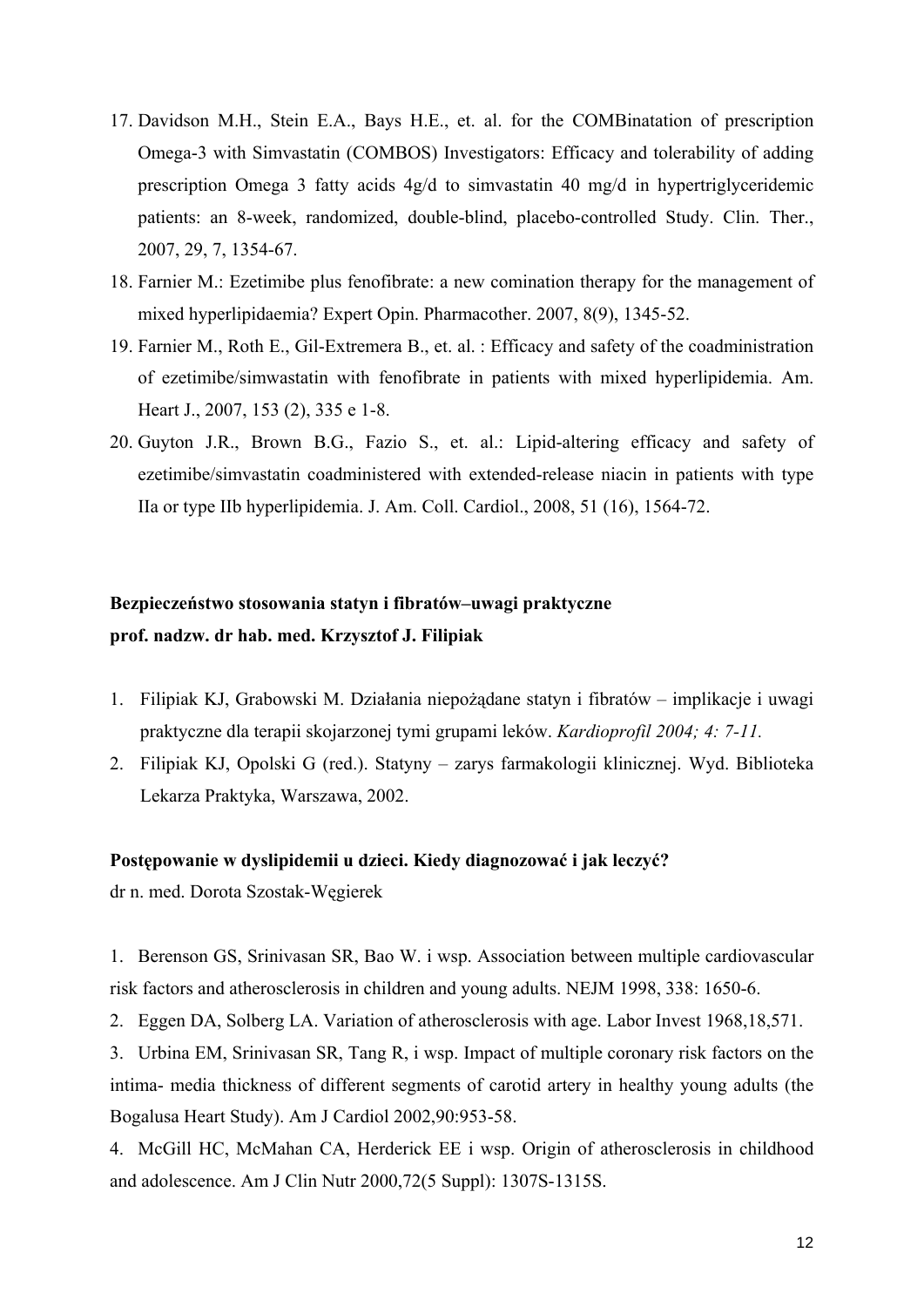- 17. Davidson M.H., Stein E.A., Bays H.E., et. al. for the COMBinatation of prescription Omega-3 with Simvastatin (COMBOS) Investigators: Efficacy and tolerability of adding prescription Omega 3 fatty acids 4g/d to simvastatin 40 mg/d in hypertriglyceridemic patients: an 8-week, randomized, double-blind, placebo-controlled Study. Clin. Ther., 2007, 29, 7, 1354-67.
- 18. Farnier M.: Ezetimibe plus fenofibrate: a new comination therapy for the management of mixed hyperlipidaemia? Expert Opin. Pharmacother. 2007, 8(9), 1345-52.
- 19. Farnier M., Roth E., Gil-Extremera B., et. al. : Efficacy and safety of the coadministration of ezetimibe/simwastatin with fenofibrate in patients with mixed hyperlipidemia. Am. Heart J., 2007, 153 (2), 335 e 1-8.
- 20. Guyton J.R., Brown B.G., Fazio S., et. al.: Lipid-altering efficacy and safety of ezetimibe/simvastatin coadministered with extended-release niacin in patients with type IIa or type IIb hyperlipidemia. J. Am. Coll. Cardiol., 2008, 51 (16), 1564-72.

# **Bezpieczeństwo stosowania statyn i fibratów–uwagi praktyczne prof. nadzw. dr hab. med. Krzysztof J. Filipiak**

- 1. Filipiak KJ, Grabowski M. Działania niepożądane statyn i fibratów implikacje i uwagi praktyczne dla terapii skojarzonej tymi grupami leków. *Kardioprofil 2004; 4: 7-11.*
- 2. Filipiak KJ, Opolski G (red.). Statyny zarys farmakologii klinicznej. Wyd. Biblioteka Lekarza Praktyka, Warszawa, 2002.

#### **Postępowanie w dyslipidemii u dzieci. Kiedy diagnozować i jak leczyć?**

dr n. med. Dorota Szostak-Węgierek

1. Berenson GS, Srinivasan SR, Bao W. i wsp. Association between multiple cardiovascular risk factors and atherosclerosis in children and young adults. NEJM 1998, 338: 1650-6.

2. Eggen DA, Solberg LA. Variation of atherosclerosis with age. Labor Invest 1968,18,571.

3. Urbina EM, Srinivasan SR, Tang R, i wsp. Impact of multiple coronary risk factors on the intima- media thickness of different segments of carotid artery in healthy young adults (the Bogalusa Heart Study). Am J Cardiol 2002,90:953-58.

4. McGill HC, McMahan CA, Herderick EE i wsp. Origin of atherosclerosis in childhood and adolescence. Am J Clin Nutr 2000,72(5 Suppl): 1307S-1315S.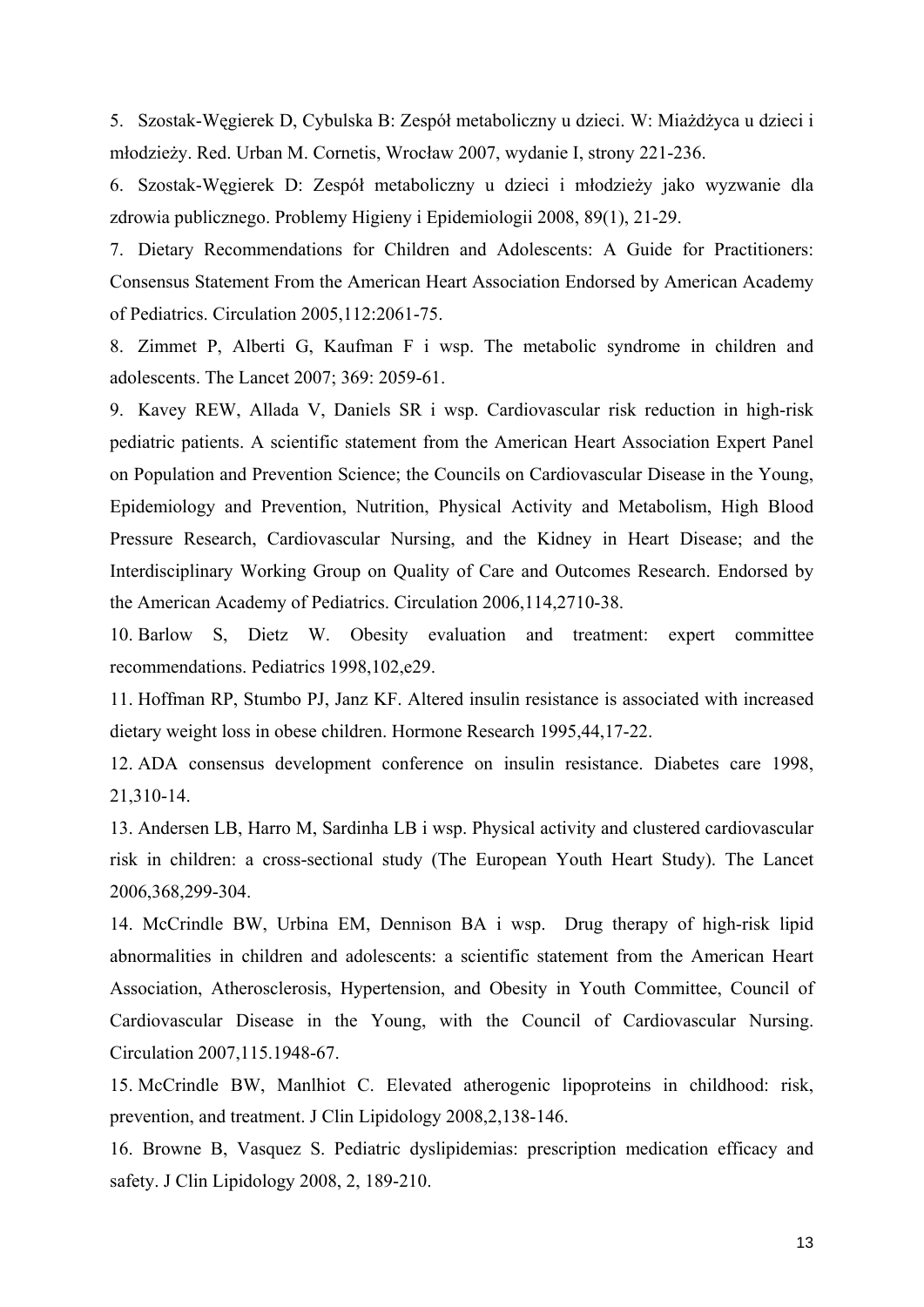5. Szostak-Węgierek D, Cybulska B: Zespół metaboliczny u dzieci. W: Miażdżyca u dzieci i młodzieży. Red. Urban M. Cornetis, Wrocław 2007, wydanie I, strony 221-236.

6. Szostak-Węgierek D: Zespół metaboliczny u dzieci i młodzieży jako wyzwanie dla zdrowia publicznego. Problemy Higieny i Epidemiologii 2008, 89(1), 21-29.

7. Dietary Recommendations for Children and Adolescents: A Guide for Practitioners: Consensus Statement From the American Heart Association Endorsed by American Academy of Pediatrics. Circulation 2005,112:2061-75.

8. Zimmet P, Alberti G, Kaufman F i wsp. The metabolic syndrome in children and adolescents. The Lancet 2007; 369: 2059-61.

9. Kavey REW, Allada V, Daniels SR i wsp. Cardiovascular risk reduction in high-risk pediatric patients. A scientific statement from the American Heart Association Expert Panel on Population and Prevention Science; the Councils on Cardiovascular Disease in the Young, Epidemiology and Prevention, Nutrition, Physical Activity and Metabolism, High Blood Pressure Research, Cardiovascular Nursing, and the Kidney in Heart Disease; and the Interdisciplinary Working Group on Quality of Care and Outcomes Research. Endorsed by the American Academy of Pediatrics. Circulation 2006,114,2710-38.

10. Barlow S, Dietz W. Obesity evaluation and treatment: expert committee recommendations. Pediatrics 1998,102,e29.

11. Hoffman RP, Stumbo PJ, Janz KF. Altered insulin resistance is associated with increased dietary weight loss in obese children. Hormone Research 1995,44,17-22.

12. ADA consensus development conference on insulin resistance. Diabetes care 1998, 21,310-14.

13. Andersen LB, Harro M, Sardinha LB i wsp. Physical activity and clustered cardiovascular risk in children: a cross-sectional study (The European Youth Heart Study). The Lancet 2006,368,299-304.

14. McCrindle BW, Urbina EM, Dennison BA i wsp. Drug therapy of high-risk lipid abnormalities in children and adolescents: a scientific statement from the American Heart Association, Atherosclerosis, Hypertension, and Obesity in Youth Committee, Council of Cardiovascular Disease in the Young, with the Council of Cardiovascular Nursing. Circulation 2007,115.1948-67.

15. McCrindle BW, Manlhiot C. Elevated atherogenic lipoproteins in childhood: risk, prevention, and treatment. J Clin Lipidology 2008,2,138-146.

16. Browne B, Vasquez S. Pediatric dyslipidemias: prescription medication efficacy and safety. J Clin Lipidology 2008, 2, 189-210.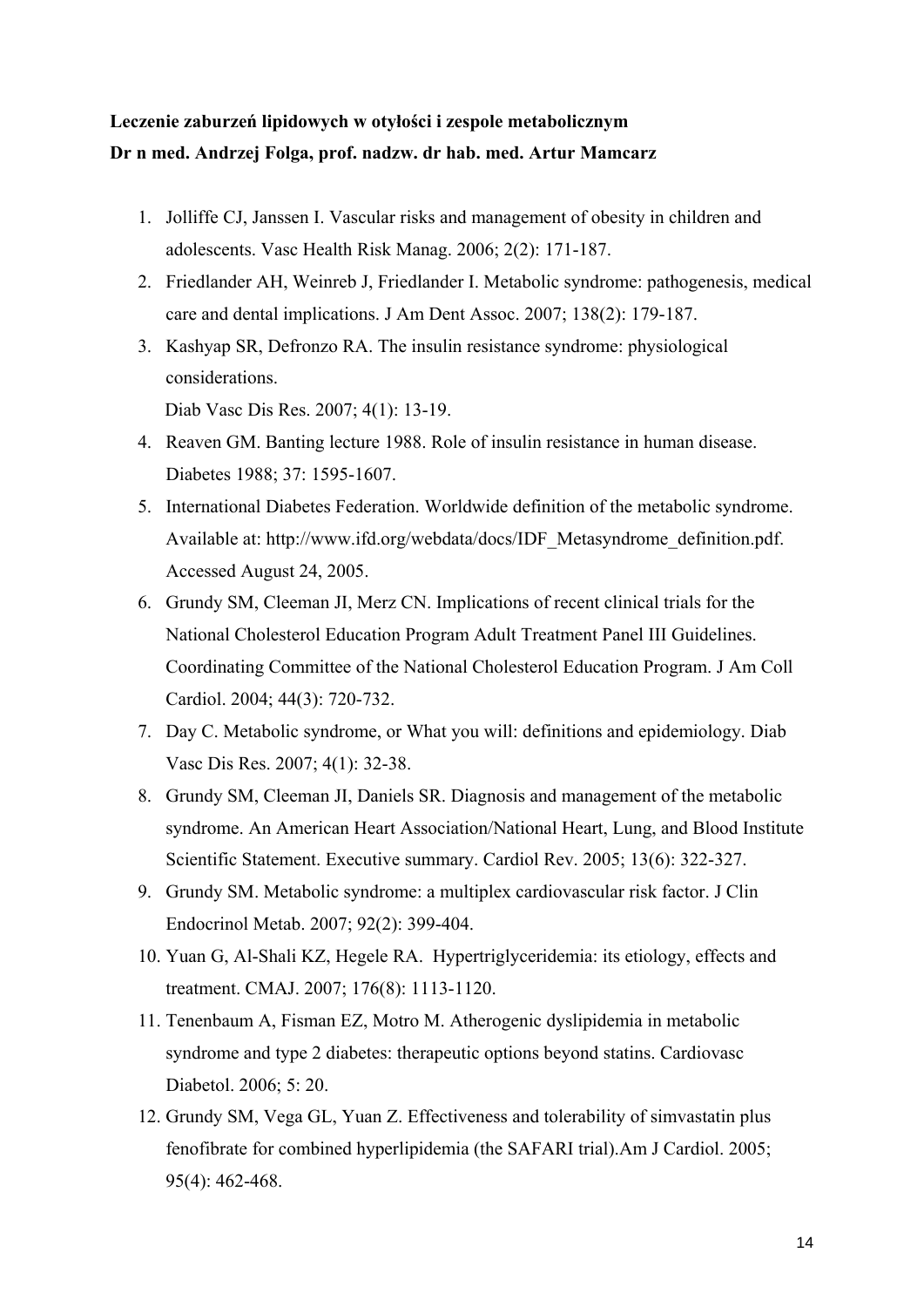## **Leczenie zaburzeń lipidowych w otyłości i zespole metabolicznym Dr n med. Andrzej Folga, prof. nadzw. dr hab. med. Artur Mamcarz**

- 1. Jolliffe CJ, Janssen I. Vascular risks and management of obesity in children and adolescents. Vasc Health Risk Manag. 2006; 2(2): 171-187.
- 2. Friedlander AH, Weinreb J, Friedlander I. Metabolic syndrome: pathogenesis, medical care and dental implications. J Am Dent Assoc. 2007; 138(2): 179-187.
- 3. Kashyap SR, Defronzo RA. The insulin resistance syndrome: physiological considerations.

Diab Vasc Dis Res. 2007; 4(1): 13-19.

- 4. Reaven GM. Banting lecture 1988. Role of insulin resistance in human disease. Diabetes 1988; 37: 1595-1607.
- 5. International Diabetes Federation. Worldwide definition of the metabolic syndrome. Available at: http://www.ifd.org/webdata/docs/IDF\_Metasyndrome\_definition.pdf. Accessed August 24, 2005.
- 6. Grundy SM, Cleeman JI, Merz CN. Implications of recent clinical trials for the National Cholesterol Education Program Adult Treatment Panel III Guidelines. Coordinating Committee of the National Cholesterol Education Program. J Am Coll Cardiol. 2004; 44(3): 720-732.
- 7. Day C. Metabolic syndrome, or What you will: definitions and epidemiology. Diab Vasc Dis Res. 2007; 4(1): 32-38.
- 8. Grundy SM, Cleeman JI, Daniels SR. Diagnosis and management of the metabolic syndrome. An American Heart Association/National Heart, Lung, and Blood Institute Scientific Statement. Executive summary. Cardiol Rev. 2005; 13(6): 322-327.
- 9. Grundy SM. Metabolic syndrome: a multiplex cardiovascular risk factor. J Clin Endocrinol Metab. 2007; 92(2): 399-404.
- 10. Yuan G, Al-Shali KZ, Hegele RA. Hypertriglyceridemia: its etiology, effects and treatment. CMAJ. 2007; 176(8): 1113-1120.
- 11. Tenenbaum A, Fisman EZ, Motro M. Atherogenic dyslipidemia in metabolic syndrome and type 2 diabetes: therapeutic options beyond statins. Cardiovasc Diabetol. 2006; 5: 20.
- 12. Grundy SM, Vega GL, Yuan Z. Effectiveness and tolerability of simvastatin plus fenofibrate for combined hyperlipidemia (the SAFARI trial).Am J Cardiol. 2005; 95(4): 462-468.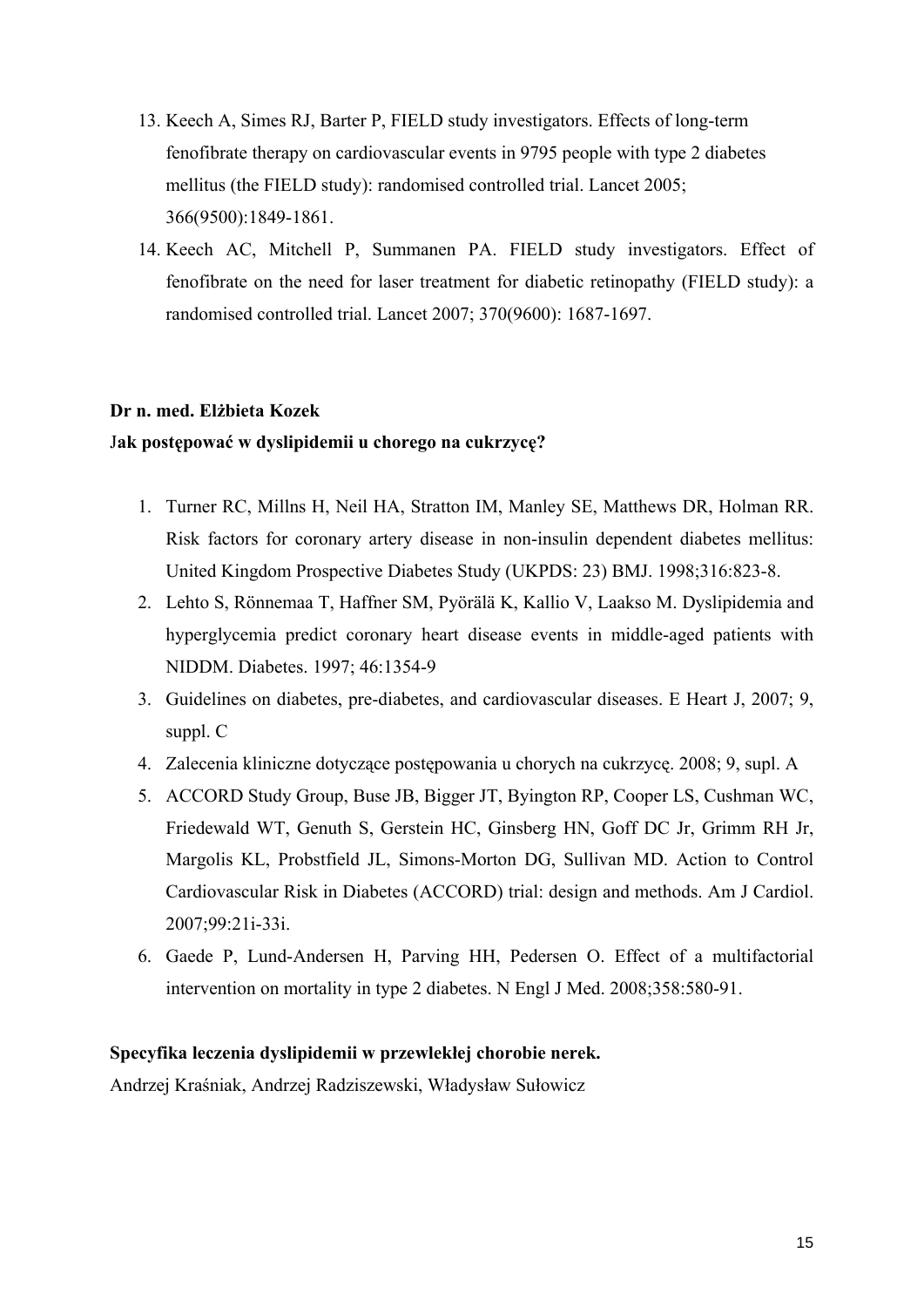- 13. Keech A, Simes RJ, Barter P, FIELD study investigators. Effects of long-term fenofibrate therapy on cardiovascular events in 9795 people with type 2 diabetes mellitus (the FIELD study): randomised controlled trial. Lancet 2005; 366(9500):1849-1861.
- 14. Keech AC, Mitchell P, Summanen PA. FIELD study investigators. Effect of fenofibrate on the need for laser treatment for diabetic retinopathy (FIELD study): a randomised controlled trial. Lancet 2007; 370(9600): 1687-1697.

#### **Dr n. med. Elżbieta Kozek**

### J**ak postępować w dyslipidemii u chorego na cukrzycę?**

- 1. Turner RC, Millns H, Neil HA, Stratton IM, Manley SE, Matthews DR, Holman RR. Risk factors for coronary artery disease in non-insulin dependent diabetes mellitus: United Kingdom Prospective Diabetes Study (UKPDS: 23) BMJ. 1998;316:823-8.
- 2. Lehto S, Rönnemaa T, Haffner SM, Pyörälä K, Kallio V, Laakso M. Dyslipidemia and hyperglycemia predict coronary heart disease events in middle-aged patients with NIDDM. Diabetes. 1997; 46:1354-9
- 3. Guidelines on diabetes, pre-diabetes, and cardiovascular diseases. E Heart J, 2007; 9, suppl. C
- 4. Zalecenia kliniczne dotyczące postępowania u chorych na cukrzycę. 2008; 9, supl. A
- 5. ACCORD Study Group, Buse JB, Bigger JT, Byington RP, Cooper LS, Cushman WC, Friedewald WT, Genuth S, Gerstein HC, Ginsberg HN, Goff DC Jr, Grimm RH Jr, Margolis KL, Probstfield JL, Simons-Morton DG, Sullivan MD. Action to Control Cardiovascular Risk in Diabetes (ACCORD) trial: design and methods. Am J Cardiol. 2007;99:21i-33i.
- 6. Gaede P, Lund-Andersen H, Parving HH, Pedersen O. Effect of a multifactorial intervention on mortality in type 2 diabetes. N Engl J Med. 2008;358:580-91.

#### **Specyfika leczenia dyslipidemii w przewlekłej chorobie nerek.**

Andrzej Kraśniak, Andrzej Radziszewski, Władysław Sułowicz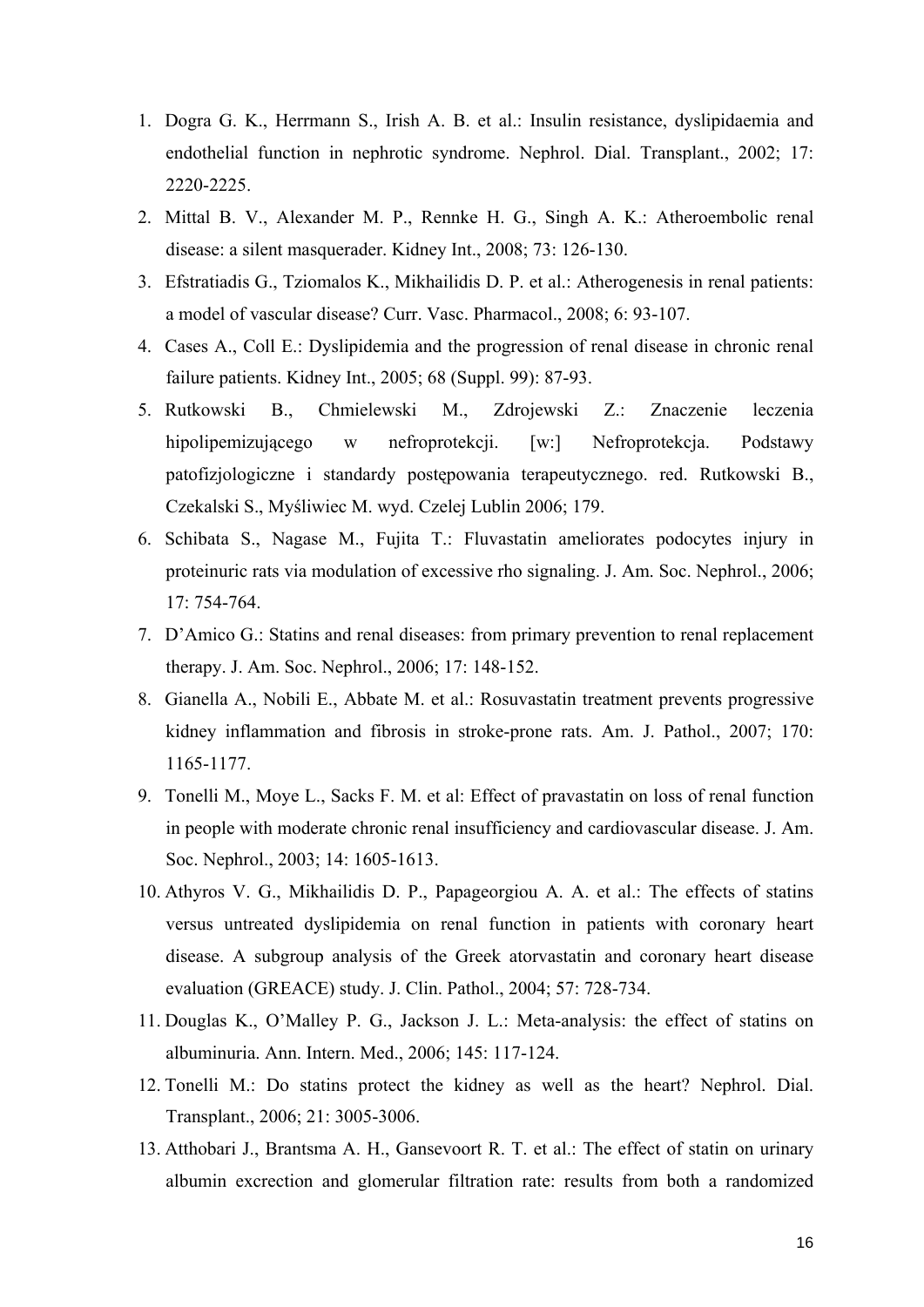- 1. Dogra G. K., Herrmann S., Irish A. B. et al.: Insulin resistance, dyslipidaemia and endothelial function in nephrotic syndrome. Nephrol. Dial. Transplant., 2002; 17: 2220-2225.
- 2. Mittal B. V., Alexander M. P., Rennke H. G., Singh A. K.: Atheroembolic renal disease: a silent masquerader. Kidney Int., 2008; 73: 126-130.
- 3. Efstratiadis G., Tziomalos K., Mikhailidis D. P. et al.: Atherogenesis in renal patients: a model of vascular disease? Curr. Vasc. Pharmacol., 2008; 6: 93-107.
- 4. Cases A., Coll E.: Dyslipidemia and the progression of renal disease in chronic renal failure patients. Kidney Int., 2005; 68 (Suppl. 99): 87-93.
- 5. Rutkowski B., Chmielewski M., Zdrojewski Z.: Znaczenie leczenia hipolipemizującego w nefroprotekcji. [w:] Nefroprotekcja. Podstawy patofizjologiczne i standardy postępowania terapeutycznego. red. Rutkowski B., Czekalski S., Myśliwiec M. wyd. Czelej Lublin 2006; 179.
- 6. Schibata S., Nagase M., Fujita T.: Fluvastatin ameliorates podocytes injury in proteinuric rats via modulation of excessive rho signaling. J. Am. Soc. Nephrol., 2006; 17: 754-764.
- 7. D'Amico G.: Statins and renal diseases: from primary prevention to renal replacement therapy. J. Am. Soc. Nephrol., 2006; 17: 148-152.
- 8. Gianella A., Nobili E., Abbate M. et al.: Rosuvastatin treatment prevents progressive kidney inflammation and fibrosis in stroke-prone rats. Am. J. Pathol., 2007; 170: 1165-1177.
- 9. Tonelli M., Moye L., Sacks F. M. et al: Effect of pravastatin on loss of renal function in people with moderate chronic renal insufficiency and cardiovascular disease. J. Am. Soc. Nephrol., 2003; 14: 1605-1613.
- 10. Athyros V. G., Mikhailidis D. P., Papageorgiou A. A. et al.: The effects of statins versus untreated dyslipidemia on renal function in patients with coronary heart disease. A subgroup analysis of the Greek atorvastatin and coronary heart disease evaluation (GREACE) study. J. Clin. Pathol., 2004; 57: 728-734.
- 11. Douglas K., O'Malley P. G., Jackson J. L.: Meta-analysis: the effect of statins on albuminuria. Ann. Intern. Med., 2006; 145: 117-124.
- 12. Tonelli M.: Do statins protect the kidney as well as the heart? Nephrol. Dial. Transplant., 2006; 21: 3005-3006.
- 13. Atthobari J., Brantsma A. H., Gansevoort R. T. et al.: The effect of statin on urinary albumin excrection and glomerular filtration rate: results from both a randomized